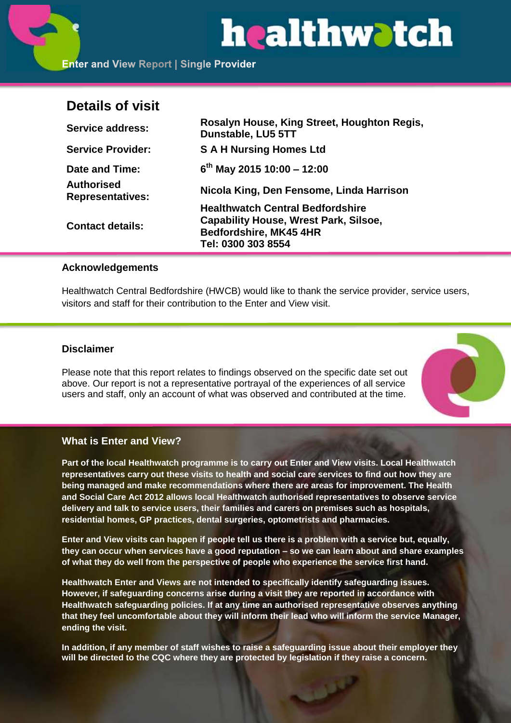# healthwatch

# **Details of visit**

| <b>Service address:</b>               | Rosalyn House, King Street, Houghton Regis,<br>Dunstable, LU5 5TT |
|---------------------------------------|-------------------------------------------------------------------|
| <b>Service Provider:</b>              | <b>S A H Nursing Homes Ltd</b>                                    |
| Date and Time:                        | $6^{th}$ May 2015 10:00 - 12:00                                   |
| Authorised<br><b>Representatives:</b> | Nicola King, Den Fensome, Linda Harrison                          |
| <b>Contact details:</b>               | <b>Healthwatch Central Bedfordshire</b>                           |
|                                       | <b>Capability House, Wrest Park, Silsoe,</b>                      |
|                                       | Bedfordshire, MK45 4HR                                            |
|                                       | Tel: 0300 303 8554                                                |

# **Acknowledgements**

Healthwatch Central Bedfordshire (HWCB) would like to thank the service provider, service users, visitors and staff for their contribution to the Enter and View visit.

# **Disclaimer**

Please note that this report relates to findings observed on the specific date set out above. Our report is not a representative portrayal of the experiences of all service users and staff, only an account of what was observed and contributed at the time.



# **What is Enter and View?**

**Part of the local Healthwatch programme is to carry out Enter and View visits. Local Healthwatch representatives carry out these visits to health and social care services to find out how they are being managed and make recommendations where there are areas for improvement. The Health and Social Care Act 2012 allows local Healthwatch authorised representatives to observe service delivery and talk to service users, their families and carers on premises such as hospitals, residential homes, GP practices, dental surgeries, optometrists and pharmacies.** 

**Enter and View visits can happen if people tell us there is a problem with a service but, equally, they can occur when services have a good reputation – so we can learn about and share examples of what they do well from the perspective of people who experience the service first hand.**

**Healthwatch Enter and Views are not intended to specifically identify safeguarding issues. However, if safeguarding concerns arise during a visit they are reported in accordance with Healthwatch safeguarding policies. If at any time an authorised representative observes anything that they feel uncomfortable about they will inform their lead who will inform the service Manager, ending the visit.** 

**In addition, if any member of staff wishes to raise a safeguarding issue about their employer they will be directed to the CQC where they are protected by legislation if they raise a concern.**

المول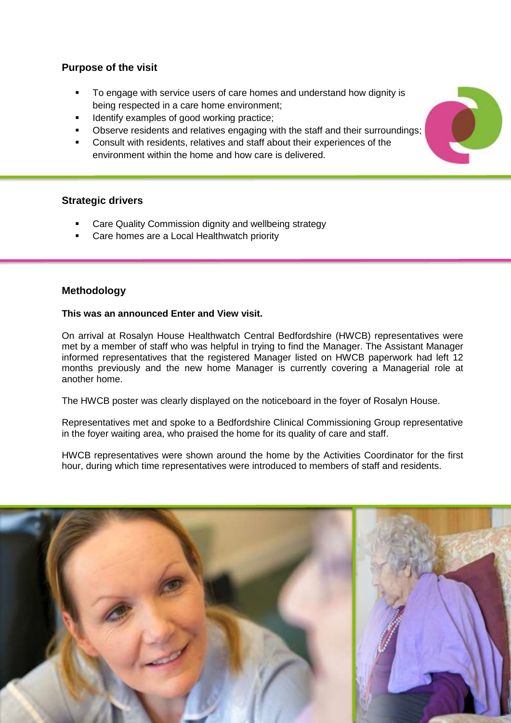# **Purpose of the visit**

- To engage with service users of care homes and understand how dignity is being respected in a care home environment;
- Identify examples of good working practice;
- Observe residents and relatives engaging with the staff and their surroundings;
- Consult with residents, relatives and staff about their experiences of the environment within the home and how care is delivered.

# **Strategic drivers**

- Care Quality Commission dignity and wellbeing strategy
- Care homes are a Local Healthwatch priority

#### **Methodology**

#### **This was an announced Enter and View visit.**

On arrival at Rosalyn House Healthwatch Central Bedfordshire (HWCB) representatives were met by a member of staff who was helpful in trying to find the Manager. The Assistant Manager informed representatives that the registered Manager listed on HWCB paperwork had left 12 months previously and the new home Manager is currently covering a Managerial role at another home.

The HWCB poster was clearly displayed on the noticeboard in the foyer of Rosalyn House.

Representatives met and spoke to a Bedfordshire Clinical Commissioning Group representative in the foyer waiting area, who praised the home for its quality of care and staff.

HWCB representatives were shown around the home by the Activities Coordinator for the first hour, during which time representatives were introduced to members of staff and residents.



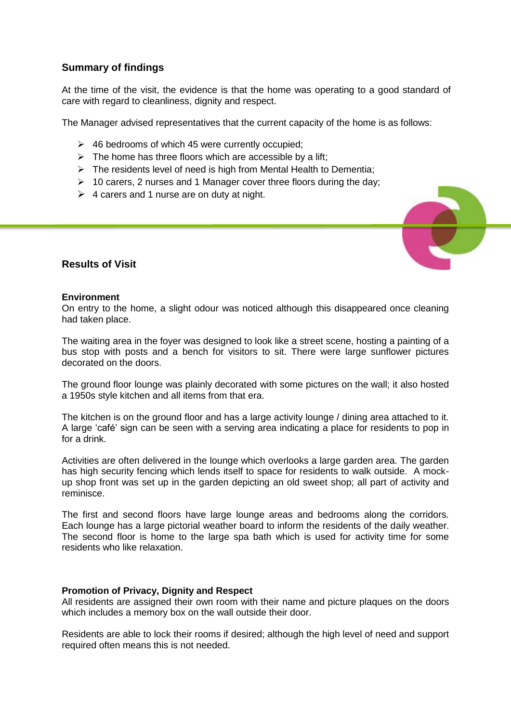# **Summary of findings**

At the time of the visit, the evidence is that the home was operating to a good standard of care with regard to cleanliness, dignity and respect.

The Manager advised representatives that the current capacity of the home is as follows:

- $\geq$  46 bedrooms of which 45 were currently occupied;
- $\triangleright$  The home has three floors which are accessible by a lift;
- $\triangleright$  The residents level of need is high from Mental Health to Dementia;
- $\geq 10$  carers, 2 nurses and 1 Manager cover three floors during the day;
- $\triangleright$  4 carers and 1 nurse are on duty at night.



#### **Results of Visit**

#### **Environment**

On entry to the home, a slight odour was noticed although this disappeared once cleaning had taken place.

The waiting area in the foyer was designed to look like a street scene, hosting a painting of a bus stop with posts and a bench for visitors to sit. There were large sunflower pictures decorated on the doors.

The ground floor lounge was plainly decorated with some pictures on the wall; it also hosted a 1950s style kitchen and all items from that era.

The kitchen is on the ground floor and has a large activity lounge / dining area attached to it. A large 'café' sign can be seen with a serving area indicating a place for residents to pop in for a drink.

Activities are often delivered in the lounge which overlooks a large garden area. The garden has high security fencing which lends itself to space for residents to walk outside. A mockup shop front was set up in the garden depicting an old sweet shop; all part of activity and reminisce.

The first and second floors have large lounge areas and bedrooms along the corridors. Each lounge has a large pictorial weather board to inform the residents of the daily weather. The second floor is home to the large spa bath which is used for activity time for some residents who like relaxation.

#### **Promotion of Privacy, Dignity and Respect**

All residents are assigned their own room with their name and picture plaques on the doors which includes a memory box on the wall outside their door.

Residents are able to lock their rooms if desired; although the high level of need and support required often means this is not needed.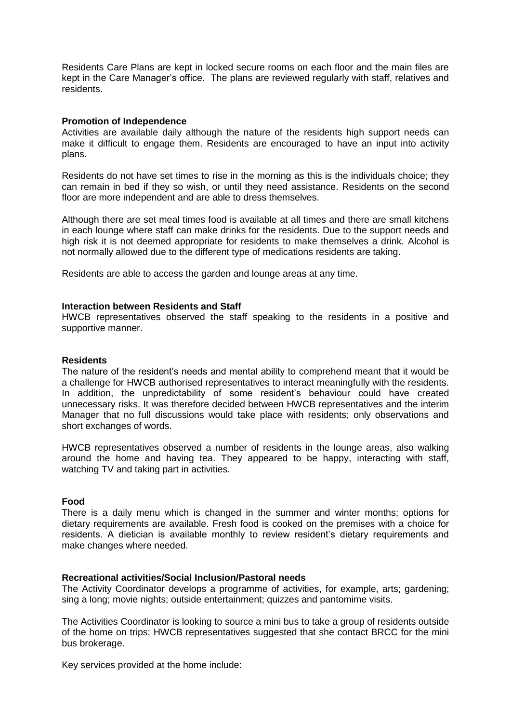Residents Care Plans are kept in locked secure rooms on each floor and the main files are kept in the Care Manager's office. The plans are reviewed regularly with staff, relatives and residents.

#### **Promotion of Independence**

Activities are available daily although the nature of the residents high support needs can make it difficult to engage them. Residents are encouraged to have an input into activity plans.

Residents do not have set times to rise in the morning as this is the individuals choice; they can remain in bed if they so wish, or until they need assistance. Residents on the second floor are more independent and are able to dress themselves.

Although there are set meal times food is available at all times and there are small kitchens in each lounge where staff can make drinks for the residents. Due to the support needs and high risk it is not deemed appropriate for residents to make themselves a drink. Alcohol is not normally allowed due to the different type of medications residents are taking.

Residents are able to access the garden and lounge areas at any time.

#### **Interaction between Residents and Staff**

HWCB representatives observed the staff speaking to the residents in a positive and supportive manner.

#### **Residents**

The nature of the resident's needs and mental ability to comprehend meant that it would be a challenge for HWCB authorised representatives to interact meaningfully with the residents. In addition, the unpredictability of some resident's behaviour could have created unnecessary risks. It was therefore decided between HWCB representatives and the interim Manager that no full discussions would take place with residents; only observations and short exchanges of words.

HWCB representatives observed a number of residents in the lounge areas, also walking around the home and having tea. They appeared to be happy, interacting with staff, watching TV and taking part in activities.

#### **Food**

There is a daily menu which is changed in the summer and winter months; options for dietary requirements are available. Fresh food is cooked on the premises with a choice for residents. A dietician is available monthly to review resident's dietary requirements and make changes where needed.

#### **Recreational activities/Social Inclusion/Pastoral needs**

The Activity Coordinator develops a programme of activities, for example, arts; gardening; sing a long; movie nights; outside entertainment; quizzes and pantomime visits.

The Activities Coordinator is looking to source a mini bus to take a group of residents outside of the home on trips; HWCB representatives suggested that she contact BRCC for the mini bus brokerage.

Key services provided at the home include: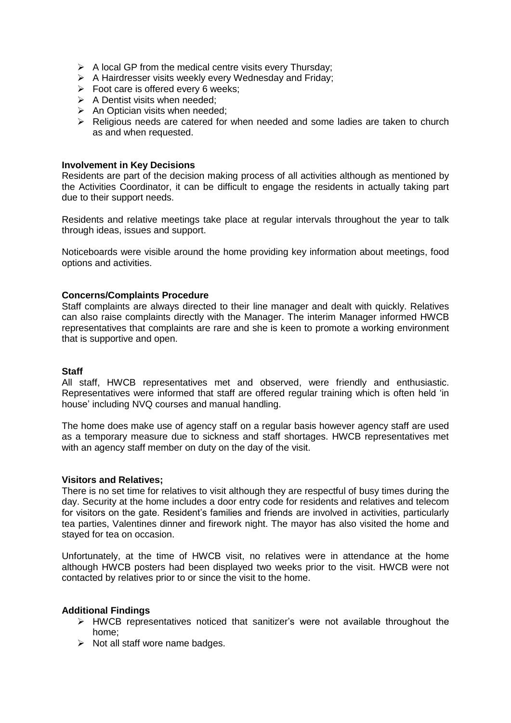- $\triangleright$  A local GP from the medical centre visits every Thursday;
- $\triangleright$  A Hairdresser visits weekly every Wednesday and Friday;
- $\triangleright$  Foot care is offered every 6 weeks;
- $\triangleright$  A Dentist visits when needed:
- $\triangleright$  An Optician visits when needed;
- $\triangleright$  Religious needs are catered for when needed and some ladies are taken to church as and when requested.

#### **Involvement in Key Decisions**

Residents are part of the decision making process of all activities although as mentioned by the Activities Coordinator, it can be difficult to engage the residents in actually taking part due to their support needs.

Residents and relative meetings take place at regular intervals throughout the year to talk through ideas, issues and support.

Noticeboards were visible around the home providing key information about meetings, food options and activities.

#### **Concerns/Complaints Procedure**

Staff complaints are always directed to their line manager and dealt with quickly. Relatives can also raise complaints directly with the Manager. The interim Manager informed HWCB representatives that complaints are rare and she is keen to promote a working environment that is supportive and open.

#### **Staff**

All staff, HWCB representatives met and observed, were friendly and enthusiastic. Representatives were informed that staff are offered regular training which is often held 'in house' including NVQ courses and manual handling.

The home does make use of agency staff on a regular basis however agency staff are used as a temporary measure due to sickness and staff shortages. HWCB representatives met with an agency staff member on duty on the day of the visit.

#### **Visitors and Relatives;**

There is no set time for relatives to visit although they are respectful of busy times during the day. Security at the home includes a door entry code for residents and relatives and telecom for visitors on the gate. Resident's families and friends are involved in activities, particularly tea parties, Valentines dinner and firework night. The mayor has also visited the home and stayed for tea on occasion.

Unfortunately, at the time of HWCB visit, no relatives were in attendance at the home although HWCB posters had been displayed two weeks prior to the visit. HWCB were not contacted by relatives prior to or since the visit to the home.

#### **Additional Findings**

- $\triangleright$  HWCB representatives noticed that sanitizer's were not available throughout the home;
- $\triangleright$  Not all staff wore name badges.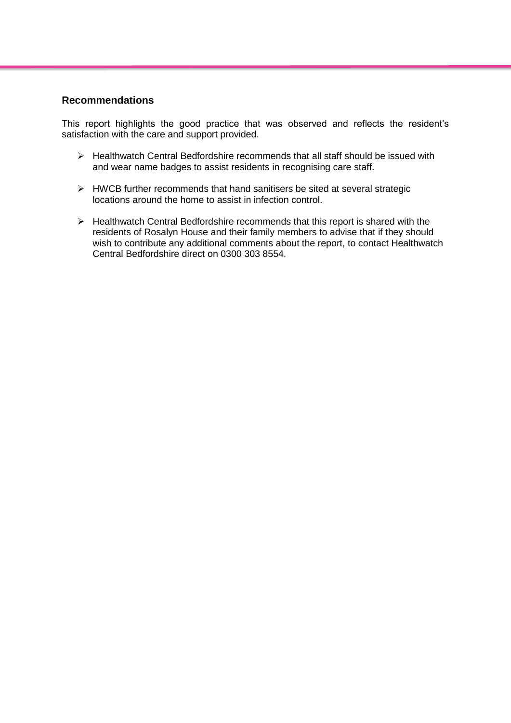# **Recommendations**

This report highlights the good practice that was observed and reflects the resident's satisfaction with the care and support provided.

- $\triangleright$  Healthwatch Central Bedfordshire recommends that all staff should be issued with and wear name badges to assist residents in recognising care staff.
- $\triangleright$  HWCB further recommends that hand sanitisers be sited at several strategic locations around the home to assist in infection control.
- $\triangleright$  Healthwatch Central Bedfordshire recommends that this report is shared with the residents of Rosalyn House and their family members to advise that if they should wish to contribute any additional comments about the report, to contact Healthwatch Central Bedfordshire direct on 0300 303 8554.